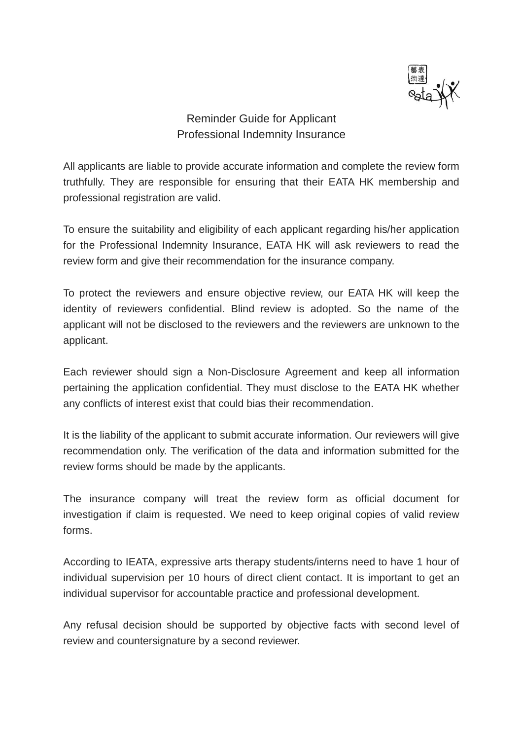

## Reminder Guide for Applicant Professional Indemnity Insurance

All applicants are liable to provide accurate information and complete the review form truthfully. They are responsible for ensuring that their EATA HK membership and professional registration are valid.

To ensure the suitability and eligibility of each applicant regarding his/her application for the Professional Indemnity Insurance, EATA HK will ask reviewers to read the review form and give their recommendation for the insurance company.

To protect the reviewers and ensure objective review, our EATA HK will keep the identity of reviewers confidential. Blind review is adopted. So the name of the applicant will not be disclosed to the reviewers and the reviewers are unknown to the applicant.

Each reviewer should sign a Non-Disclosure Agreement and keep all information pertaining the application confidential. They must disclose to the EATA HK whether any conflicts of interest exist that could bias their recommendation.

It is the liability of the applicant to submit accurate information. Our reviewers will give recommendation only. The verification of the data and information submitted for the review forms should be made by the applicants.

The insurance company will treat the review form as official document for investigation if claim is requested. We need to keep original copies of valid review forms.

According to IEATA, expressive arts therapy students/interns need to have 1 hour of individual supervision per 10 hours of direct client contact. It is important to get an individual supervisor for accountable practice and professional development.

Any refusal decision should be supported by objective facts with second level of review and countersignature by a second reviewer.